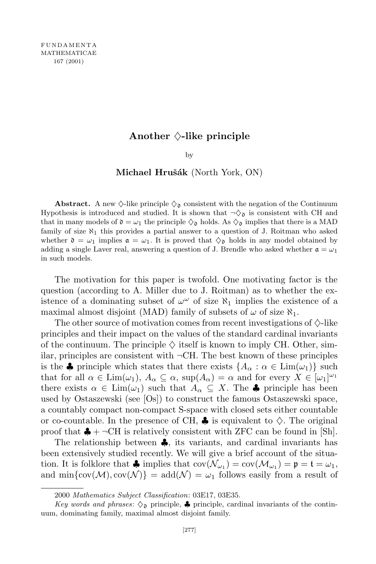## Another  $\Diamond$ -like principle

by

## **Michael Hruˇs´ak** (North York, ON)

**Abstract.** A new  $\Diamond$ -like principle  $\Diamond$ <sub>0</sub> consistent with the negation of the Continuum Hypothesis is introduced and studied. It is shown that  $\neg \Diamond$  is consistent with CH and that in many models of  $\mathfrak{d} = \omega_1$  the principle  $\Diamond_{\mathfrak{d}}$  holds. As  $\Diamond_{\mathfrak{d}}$  implies that there is a MAD family of size  $\aleph_1$  this provides a partial answer to a question of J. Roitman who asked whether  $\mathfrak{d} = \omega_1$  implies  $\mathfrak{a} = \omega_1$ . It is proved that  $\Diamond_{\mathfrak{d}}$  holds in any model obtained by adding a single Laver real, answering a question of J. Brendle who asked whether  $a = \omega_1$ in such models.

The motivation for this paper is twofold. One motivating factor is the question (according to A. Miller due to J. Roitman) as to whether the existence of a dominating subset of  $\omega^{\omega}$  of size  $\aleph_1$  implies the existence of a maximal almost disjoint (MAD) family of subsets of  $\omega$  of size  $\aleph_1$ .

The other source of motivation comes from recent investigations of *♦*-like principles and their impact on the values of the standard cardinal invariants of the continuum. The principle  $\Diamond$  itself is known to imply CH. Other, similar, principles are consistent with *¬*CH. The best known of these principles is the  $\clubsuit$  principle which states that there exists  $\{A_\alpha : \alpha \in \text{Lim}(\omega_1)\}\$  such that for all  $\alpha \in \text{Lim}(\omega_1)$ ,  $A_\alpha \subseteq \alpha$ ,  $\text{sup}(A_\alpha) = \alpha$  and for every  $X \in [\omega_1]^{\omega_1}$ there exists  $\alpha \in \text{Lim}(\omega_1)$  such that  $A_\alpha \subseteq X$ . The  $\clubsuit$  principle has been used by Ostaszewski (see [Os]) to construct the famous Ostaszewski space, a countably compact non-compact S-space with closed sets either countable or co-countable. In the presence of CH,  $\clubsuit$  is equivalent to  $\Diamond$ . The original proof that  $\clubsuit$  +  $\neg$ CH is relatively consistent with ZFC can be found in [Sh].

The relationship between *♣*, its variants, and cardinal invariants has been extensively studied recently. We will give a brief account of the situation. It is folklore that  $\clubsuit$  implies that  $cov(\mathcal{N}_{\omega_1}) = cov(\mathcal{M}_{\omega_1}) = \mathfrak{p} = \mathfrak{t} = \omega_1$ , and  $\min{\{\text{cov}(\mathcal{M}), \text{cov}(\mathcal{N})\}} = \text{add}(\mathcal{N}) = \omega_1$  follows easily from a result of

<sup>2000</sup> *Mathematics Subject Classification*: 03E17, 03E35.

*Key words* and *phrases*:  $\Diamond$  principle,  $\clubsuit$  principle, cardinal invariants of the continuum, dominating family, maximal almost disjoint family.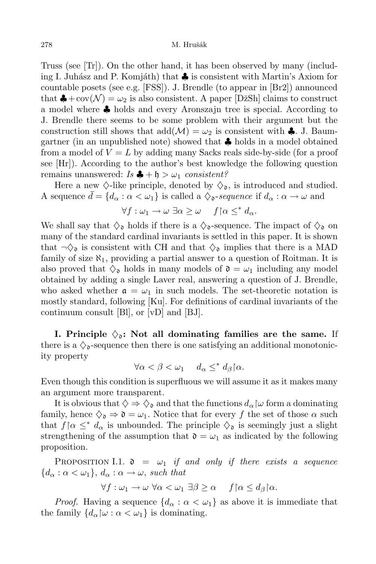Truss (see [Tr]). On the other hand, it has been observed by many (including I. Juhász and P. Komjáth) that **♣** is consistent with Martin's Axiom for countable posets (see e.g. [FSS]). J. Brendle (to appear in [Br2]) announced that  $\clubsuit$  + cov( $\mathcal{N}$ ) =  $\omega_2$  is also consistent. A paper [DžSh] claims to construct a model where *♣* holds and every Aronszajn tree is special. According to J. Brendle there seems to be some problem with their argument but the construction still shows that  $\text{add}(\mathcal{M}) = \omega_2$  is consistent with  $\clubsuit$ . J. Baumgartner (in an unpublished note) showed that *♣* holds in a model obtained from a model of  $V = L$  by adding many Sacks reals side-by-side (for a proof see [Hr]). According to the author's best knowledge the following question remains unanswered:  $Is \triangleq + \mathfrak{h} > \omega_1$  *consistent?* 

Here a new  $\Diamond$ -like principle, denoted by  $\Diamond_{\mathfrak{d}}$ , is introduced and studied. A sequence  $d = \{d_\alpha : \alpha < \omega_1\}$  is called a  $\Diamond$ <sub>0</sub>-sequence if  $d_\alpha : \alpha \to \omega$  and

$$
\forall f: \omega_1 \to \omega \; \exists \alpha \geq \omega \quad f \upharpoonright \alpha \leq^* d_\alpha.
$$

We shall say that  $\Diamond_{\mathfrak{d}}$  holds if there is a  $\Diamond_{\mathfrak{d}}$ -sequence. The impact of  $\Diamond_{\mathfrak{d}}$  on many of the standard cardinal invariants is settled in this paper. It is shown that  $\neg \Diamond_{\mathfrak{d}}$  is consistent with CH and that  $\Diamond_{\mathfrak{d}}$  implies that there is a MAD family of size  $\aleph_1$ , providing a partial answer to a question of Roitman. It is also proved that  $\Diamond$ <sub>0</sub> holds in many models of  $\mathfrak{d} = \omega_1$  including any model obtained by adding a single Laver real, answering a question of J. Brendle, who asked whether  $\mathfrak{a} = \omega_1$  in such models. The set-theoretic notation is mostly standard, following [Ku]. For definitions of cardinal invariants of the continuum consult [Bl], or [vD] and [BJ].

**I.** Principle  $\Diamond_{\mathfrak{d}}$ : Not all dominating families are the same. If there is a  $\Diamond$ <sub>0</sub>-sequence then there is one satisfying an additional monotonicity property

$$
\forall \alpha < \beta < \omega_1 \quad d_\alpha \leq^* d_\beta \, \lceil \alpha.
$$

Even though this condition is superfluous we will assume it as it makes many an argument more transparent.

It is obvious that  $\diamondsuit \Rightarrow \diamondsuit_{\mathfrak{d}}$  and that the functions  $d_{\alpha} \, \vert \omega$  form a dominating family, hence  $\Diamond_{\mathfrak{d}} \Rightarrow \mathfrak{d} = \omega_1$ . Notice that for every f the set of those  $\alpha$  such that  $f \upharpoonright \alpha \leq^* d_\alpha$  is unbounded. The principle  $\Diamond_{\mathfrak{d}}$  is seemingly just a slight strengthening of the assumption that  $\mathfrak{d} = \omega_1$  as indicated by the following proposition.

PROPOSITION I.1.  $\mathfrak{d} = \omega_1$  *if and only if there exists a sequence*  ${d_{\alpha} : \alpha < \omega_1}, d_{\alpha} : \alpha \to \omega$ , *such that* 

$$
\forall f: \omega_1 \to \omega \,\,\forall \alpha < \omega_1 \,\,\exists \beta \geq \alpha \quad \, f \, \upharpoonright \alpha \leq d_\beta \, \upharpoonright \alpha.
$$

*Proof.* Having a sequence  ${d_{\alpha} : \alpha < \omega_1}$  as above it is immediate that the family  ${d_{\alpha} \omega : \alpha < \omega_1}$  is dominating.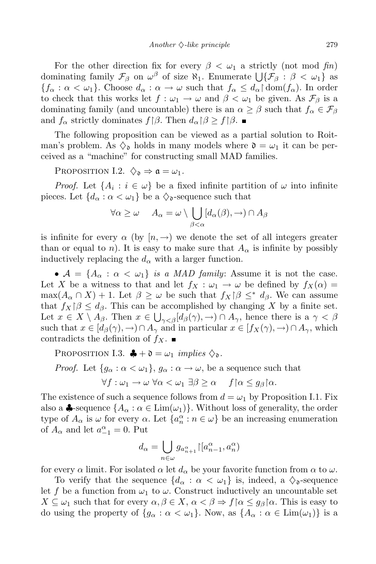For the other direction fix for every  $\beta < \omega_1$  a strictly (not mod *fin*) dominating family  $\mathcal{F}_{\beta}$  on  $\omega^{\beta}$  of size  $\aleph_1$ . Enumerate  $\bigcup \{\mathcal{F}_{\beta} : \beta < \omega_1\}$  as  ${f_{\alpha} : \alpha < \omega_1}$ . Choose  $d_{\alpha} : \alpha \to \omega$  such that  $f_{\alpha} \leq d_{\alpha} \restriction \text{dom}(f_{\alpha})$ . In order to check that this works let  $f : \omega_1 \to \omega$  and  $\beta < \omega_1$  be given. As  $\mathcal{F}_{\beta}$  is a dominating family (and uncountable) there is an  $\alpha \geq \beta$  such that  $f_{\alpha} \in \mathcal{F}_{\beta}$ and  $f_{\alpha}$  strictly dominates  $f(\beta)$ . Then  $d_{\alpha}(\beta) \geq f(\beta)$ .

The following proposition can be viewed as a partial solution to Roitman's problem. As  $\Diamond$ <sub>0</sub> holds in many models where  $\mathfrak{d} = \omega_1$  it can be perceived as a "machine" for constructing small MAD families.

PROPOSITION I.2.  $\Diamond_{\mathfrak{d}} \Rightarrow \mathfrak{a} = \omega_1$ .

*Proof.* Let  $\{A_i : i \in \omega\}$  be a fixed infinite partition of  $\omega$  into infinite pieces. Let  ${d_{\alpha} : \alpha < \omega_1}$  be a  $\Diamond$ <sub>0</sub>-sequence such that

$$
\forall \alpha \geq \omega \quad A_{\alpha} = \omega \setminus \bigcup_{\beta < \alpha} [d_{\alpha}(\beta), \to) \cap A_{\beta}
$$

is infinite for every  $\alpha$  (by  $[n, \rightarrow)$ ) we denote the set of all integers greater than or equal to *n*). It is easy to make sure that  $A_{\alpha}$  is infinite by possibly inductively replacing the  $d_{\alpha}$  with a larger function.

•  $A = \{A_\alpha : \alpha < \omega_1\}$  *is a MAD family:* Assume it is not the case. Let *X* be a witness to that and let  $f_X : \omega_1 \to \omega$  be defined by  $f_X(\alpha) =$  $\max(A_\alpha \cap X) + 1$ . Let  $\beta \geq \omega$  be such that  $f_X \upharpoonright \beta \leq^* d_\beta$ . We can assume that  $f_X$  $\beta \leq d_\beta$ . This can be accomplished by changing X by a finite set. Let  $x \in X \setminus A_{\beta}$ . Then  $x \in \bigcup_{\gamma < \beta} [d_{\beta}(\gamma), \to) \cap A_{\gamma}$ , hence there is a  $\gamma < \beta$ such that  $x \in [d_{\beta}(\gamma), \rightarrow) \cap A_{\gamma}$  and in particular  $x \in [f_{X}(\gamma), \rightarrow) \cap A_{\gamma}$ , which contradicts the definition of  $f_X$ .

PROPOSITION I.3.  $\clubsuit + \mathfrak{d} = \omega_1$  *implies*  $\diamondsuit_{\mathfrak{d}}$ .

*Proof.* Let  ${g_{\alpha} : \alpha < \omega_1}, g_{\alpha} : \alpha \to \omega$ , be a sequence such that

 $\forall f : \omega_1 \to \omega \ \forall \alpha < \omega_1 \ \exists \beta \geq \alpha \ \ f \upharpoonright \alpha \leq q_\beta \upharpoonright \alpha.$ 

The existence of such a sequence follows from  $d = \omega_1$  by Proposition I.1. Fix also a  $\clubsuit$ -sequence  $\{A_\alpha : \alpha \in \text{Lim}(\omega_1)\}\.$  Without loss of generality, the order type of  $A_{\alpha}$  is  $\omega$  for every  $\alpha$ . Let  $\{a_n^{\alpha} : n \in \omega\}$  be an increasing enumeration of  $A_{\alpha}$  and let  $a_{-1}^{\alpha} = 0$ . Put

$$
d_\alpha = \bigcup_{n \in \omega} g_{a_{n+1}^\alpha} {\upharpoonright} [a_{n-1}^\alpha, a_n^\alpha)
$$

for every  $\alpha$  limit. For isolated  $\alpha$  let  $d_{\alpha}$  be your favorite function from  $\alpha$  to  $\omega$ .

To verify that the sequence  $\{d_{\alpha} : \alpha < \omega_1\}$  is, indeed, a  $\diamondsuit$ <sub>0</sub>-sequence let f be a function from  $\omega_1$  to  $\omega$ . Construct inductively an uncountable set  $X \subseteq \omega_1$  such that for every  $\alpha, \beta \in X$ ,  $\alpha < \beta \Rightarrow f \upharpoonright \alpha \leq g_\beta \upharpoonright \alpha$ . This is easy to do using the property of  ${g_{\alpha} : \alpha < \omega_1}$ . Now, as  ${A_{\alpha} : \alpha \in \text{Lim}(\omega_1)}$  is a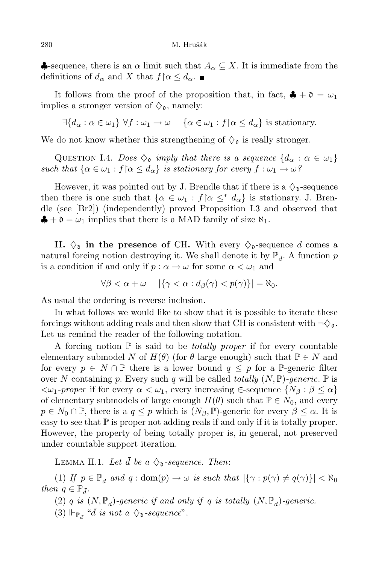$\triangle$ -sequence, there is an  $\alpha$  limit such that  $A_{\alpha} \subseteq X$ . It is immediate from the definitions of  $d_{\alpha}$  and  $X$  that  $f \upharpoonright \alpha \leq d_{\alpha}$ .

It follows from the proof of the proposition that, in fact,  $\clubsuit + \mathfrak{d} = \omega_1$ implies a stronger version of  $\Diamond_{\mathfrak{d}}$ , namely:

 $\exists \{d_{\alpha} : \alpha \in \omega_1\} \ \forall f : \omega_1 \to \omega \quad \{\alpha \in \omega_1 : f \mid \alpha \leq d_{\alpha}\}\$ is stationary.

We do not know whether this strengthening of  $\Diamond$ <sub>0</sub> is really stronger.

QUESTION I.4. *Does*  $\Diamond$  *imply that there is a sequence*  $\{d_{\alpha} : \alpha \in \omega_1\}$ *such that*  $\{\alpha \in \omega_1 : f \mid \alpha \leq d_\alpha\}$  *is stationary for every*  $f : \omega_1 \to \omega$ ?

However, it was pointed out by J. Brendle that if there is a  $\Diamond$ <sub>0</sub>-sequence then there is one such that  $\{\alpha \in \omega_1 : f \mid \alpha \leq^* d_\alpha\}$  is stationary. J. Brendle (see [Br2]) (independently) proved Proposition I.3 and observed that  $\clubsuit + \mathfrak{d} = \omega_1$  implies that there is a MAD family of size  $\aleph_1$ .

**II.**  $\Diamond$  **in** the presence of CH. With every  $\Diamond$  -sequence  $\overline{d}$  comes a natural forcing notion destroying it. We shall denote it by  $\mathbb{P}_{\bar{d}}$ . A function  $p$ is a condition if and only if  $p : \alpha \to \omega$  for some  $\alpha < \omega_1$  and

$$
\forall \beta < \alpha + \omega \quad |\{\gamma < \alpha : d_{\beta}(\gamma) < p(\gamma)\}| = \aleph_0.
$$

As usual the ordering is reverse inclusion.

In what follows we would like to show that it is possible to iterate these forcings without adding reals and then show that CH is consistent with  $\neg \Diamond_{\mathfrak{d}}$ . Let us remind the reader of the following notation.

A forcing notion P is said to be *totally proper* if for every countable elementary submodel *N* of  $H(\theta)$  (for  $\theta$  large enough) such that  $\mathbb{P} \in N$  and for every  $p \in N \cap \mathbb{P}$  there is a lower bound  $q \leq p$  for a P-generic filter over *N* containing *p*. Every such *q* will be called *totally*  $(N, \mathbb{P})$ *-generic*.  $\mathbb{P}$  is  $\langle\omega_1$ -proper if for every  $\alpha \leq \omega_1$ , every increasing  $\in$ -sequence  $\{N_\beta : \beta \leq \alpha\}$ of elementary submodels of large enough  $H(\theta)$  such that  $\mathbb{P} \in N_0$ , and every  $p \in N_0 \cap \mathbb{P}$ , there is a  $q \leq p$  which is  $(N_\beta, \mathbb{P})$ -generic for every  $\beta \leq \alpha$ . It is easy to see that  $\mathbb P$  is proper not adding reals if and only if it is totally proper. However, the property of being totally proper is, in general, not preserved under countable support iteration.

LEMMA II.1. Let  $\bar{d}$  be a  $\Diamond$ <sub>0</sub>-sequence. Then:

(1) If  $p \in \mathbb{P}_{\bar{d}}$  and  $q : \text{dom}(p) \to \omega$  is such that  $|\{\gamma : p(\gamma) \neq q(\gamma)\}| < \aleph_0$ *then*  $q \in \mathbb{P}_{\bar{d}}$ .

(2) *q is*  $(N, \mathbb{P}_{\bar{d}})$ -generic *if* and only *if q is totally*  $(N, \mathbb{P}_{\bar{d}})$ -generic.

(3)  $\Vdash_{\mathbb{P}_{\bar{d}}}$  "*d is* not a  $\diamondsuit_{\mathfrak{d}}$ -sequence".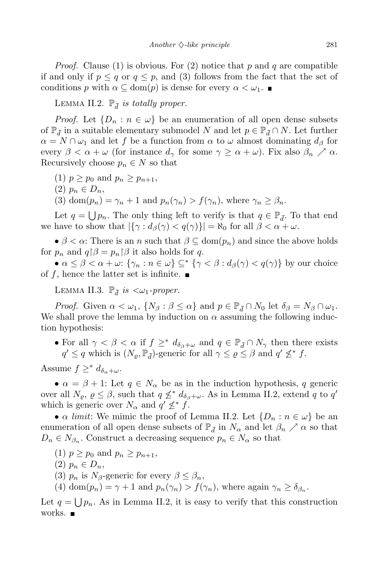*Proof.* Clause (1) is obvious. For (2) notice that *p* and *q* are compatible if and only if  $p \leq q$  or  $q \leq p$ , and (3) follows from the fact that the set of conditions *p* with  $\alpha \subseteq \text{dom}(p)$  is dense for every  $\alpha < \omega_1$ .

LEMMA II.2.  $\mathbb{P}_{\bar{d}}$  *is totally proper.* 

*Proof.* Let  $\{D_n : n \in \omega\}$  be an enumeration of all open dense subsets of  $\mathbb{P}_{\bar{d}}$  in a suitable elementary submodel *N* and let  $p \in \mathbb{P}_{\bar{d}} \cap N$ . Let further  $\alpha = N \cap \omega_1$  and let f be a function from  $\alpha$  to  $\omega$  almost dominating  $d_\beta$  for every  $\beta < \alpha + \omega$  (for instance  $d_{\gamma}$  for some  $\gamma \geq \alpha + \omega$ ). Fix also  $\beta_n \nearrow \alpha$ . Recursively choose  $p_n \in N$  so that

- $(p_1)p > p_0$  and  $p_n > p_{n+1}$ ,
- $(2)$   $p_n \in D_n$ ,
- (3) dom $(p_n) = \gamma_n + 1$  and  $p_n(\gamma_n) > f(\gamma_n)$ , where  $\gamma_n > \beta_n$ .

Let  $q = \bigcup p_n$ . The only thing left to verify is that  $q \in \mathbb{P}_{\bar{d}}$ . To that end we have to show that  $|\{\gamma : d_{\beta}(\gamma) < q(\gamma)\}| = \aleph_0$  for all  $\beta < \alpha + \omega$ .

•  $\beta < \alpha$ : There is an *n* such that  $\beta \subseteq \text{dom}(p_n)$  and since the above holds for  $p_n$  and  $q \upharpoonright \beta = p_n \upharpoonright \beta$  it also holds for q.

•  $\alpha \leq \beta < \alpha + \omega$ :  $\{\gamma_n : n \in \omega\} \subseteq^* \{\gamma < \beta : d_{\beta}(\gamma) < q(\gamma)\}\$ by our choice of  $f$ , hence the latter set is infinite.

LEMMA II.3.  $\mathbb{P}_{\bar{d}}$  *is*  $\langle \omega_1$ *-proper.* 

*Proof.* Given  $\alpha < \omega_1$ ,  $\{N_\beta : \beta \le \alpha\}$  and  $p \in \mathbb{P}_{\bar{d}} \cap N_0$  let  $\delta_\beta = N_\beta \cap \omega_1$ . We shall prove the lemma by induction on  $\alpha$  assuming the following induction hypothesis:

• For all  $\gamma < \beta < \alpha$  if  $f \geq^* d_{\delta_{\beta}+\omega}$  and  $q \in \mathbb{P}_{\bar{d}} \cap N_{\gamma}$  then there exists  $q' \leq q$  which is  $(N_{\varrho}, \mathbb{P}_{\bar{d}})$ -generic for all  $\gamma \leq \varrho \leq \beta$  and  $q' \nleq^* f$ .

Assume  $f \geq^* d_{\delta_\alpha + \omega}$ .

•  $\alpha = \beta + 1$ : Let  $q \in N_\alpha$  be as in the induction hypothesis, *q* generic over all  $N_{\varrho}, \varrho \leq \beta$ , such that  $q \nleq^* d_{\delta_{\beta}+\omega}$ . As in Lemma II.2, extend *q* to *q'* which is generic over  $N_{\alpha}$  and  $q' \nleq^* f$ .

• *α limit*: We mimic the proof of Lemma II.2. Let  $\{D_n : n \in \omega\}$  be an enumeration of all open dense subsets of  $\mathbb{P}_{\bar{d}}$  in  $N_{\alpha}$  and let  $\beta_n \nearrow \alpha$  so that  $D_n \in N_{\beta_n}$ . Construct a decreasing sequence  $p_n \in N_{\alpha}$  so that

- $p \geq p_0$  and  $p_n \geq p_{n+1}$ ,
- $(2)$   $p_n \in D_n$ ,
- (3)  $p_n$  is  $N_\beta$ -generic for every  $\beta \leq \beta_n$ ,
- (4) dom $(p_n) = \gamma + 1$  and  $p_n(\gamma_n) > f(\gamma_n)$ , where again  $\gamma_n \ge \delta_{\beta_n}$ .

Let  $q = \bigcup p_n$ . As in Lemma II.2, it is easy to verify that this construction works. ■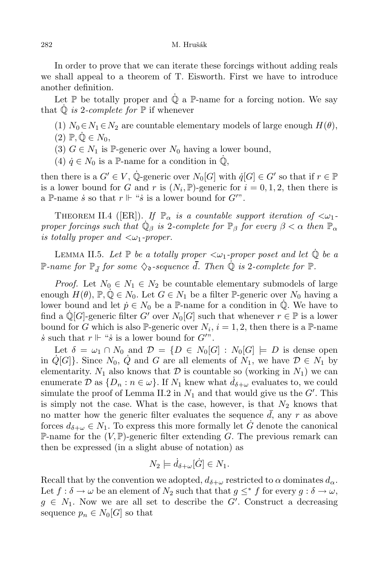In order to prove that we can iterate these forcings without adding reals we shall appeal to a theorem of T. Eisworth. First we have to introduce another definition.

Let  $\mathbb P$  be totally proper and  $\dot{\mathbb Q}$  a  $\mathbb P$ -name for a forcing notion. We say that  $\dot{\mathbb{Q}}$  *is* 2-*complete for*  $\mathbb{P}$  if whenever

- (1)  $N_0 \in N_1 \in N_2$  are countable elementary models of large enough  $H(\theta)$ ,
- $(2)$   $\mathbb{P}, \mathbb{Q} \in N_0$ ,
- (3)  $G \in N_1$  is P-generic over  $N_0$  having a lower bound,
- (4)  $\dot{q} \in N_0$  is a P-name for a condition in  $\dot{Q}$ ,

then there is a  $G' \in V$ , Q<sup>†</sup> generic over  $N_0[G]$  with  $q[G] \in G'$  so that if  $r \in \mathbb{P}$ is a lower bound for *G* and *r* is  $(N_i, \mathbb{P})$ -generic for  $i = 0, 1, 2$ , then there is a P-name *s* so that  $r \Vdash$  "*s* is a lower bound for  $G''$ ".

THEOREM II.4 ([ER]). *If*  $\mathbb{P}_{\alpha}$  *is a countable support iteration of*  $\langle \omega_1 - \omega_2 \rangle$ *proper forcings such that*  $\dot{\mathbb{Q}}_{\beta}$  *is* 2*-complete for*  $\mathbb{P}_{\beta}$  *for every*  $\beta < \alpha$  *then*  $\mathbb{P}_{\alpha}$ *is totally proper and <ω*1*-proper.*

**LEMMA II.5.** Let  $\mathbb{P}$  be a totally proper  $\langle \omega_1$ -proper poset and let  $\mathbb{Q}$  be a  $\mathbb{P}\text{-}name\ for\ \mathbb{P}_{\bar{d}}\ for\ some\ \diamondsuit_\mathfrak{d}\text{-}sequence\ \bar{d}\ \ The\ \mathbb{Q}\ is\ 2-complete\ for\ \mathbb{P}.$ 

*Proof.* Let  $N_0 \in N_1 \in N_2$  be countable elementary submodels of large enough  $H(\theta)$ ,  $\mathbb{P}, \mathbb{Q} \in N_0$ . Let  $G \in N_1$  be a filter  $\mathbb{P}$ -generic over  $N_0$  having a lower bound and let  $p \in N_0$  be a P-name for a condition in  $\mathbb{Q}$ . We have to find a  $\mathbb{Q}[G]$ -generic filter *G<sup>'</sup>* over  $N_0[G]$  such that whenever  $r \in \mathbb{P}$  is a lower bound for *G* which is also P-generic over  $N_i$ ,  $i = 1, 2$ , then there is a P-name  $\dot{s}$  such that  $r \Vdash$  " $\dot{s}$  is a lower bound for  $G$ ".

Let  $\delta = \omega_1 \cap N_0$  and  $\mathcal{D} = \{D \in N_0 | G | : N_0 | G | \models D$  is dense open in  $\hat{Q}[G]$ . Since  $N_0$ ,  $\hat{Q}$  and  $G$  are all elements of  $N_1$ , we have  $\mathcal{D} \in N_1$  by elementarity.  $N_1$  also knows that  $\mathcal D$  is countable so (working in  $N_1$ ) we can enumerate  $\mathcal{D}$  as  $\{D_n : n \in \omega\}$ . If  $N_1$  knew what  $d_{\delta+\omega}$  evaluates to, we could simulate the proof of Lemma II.2 in  $N_1$  and that would give us the  $G'$ . This is simply not the case. What is the case, however, is that  $N_2$  knows that no matter how the generic filter evaluates the sequence *d*, any *r* as above forces  $d_{\delta+\omega} \in N_1$ . To express this more formally let *G* denote the canonical P-name for the  $(V,\mathbb{P})$ -generic filter extending G. The previous remark can then be expressed (in a slight abuse of notation) as

$$
N_2 \models \dot{d}_{\delta+\omega}[\dot{G}] \in N_1.
$$

Recall that by the convention we adopted,  $d_{\delta+\omega}$  restricted to  $\alpha$  dominates  $d_{\alpha}$ . Let  $f : \delta \to \omega$  be an element of  $N_2$  such that that  $g \leq^* f$  for every  $g : \delta \to \omega$ ,  $g \in N_1$ . Now we are all set to describe the *G*<sup>*i*</sup>. Construct a decreasing sequence  $p_n \in N_0[G]$  so that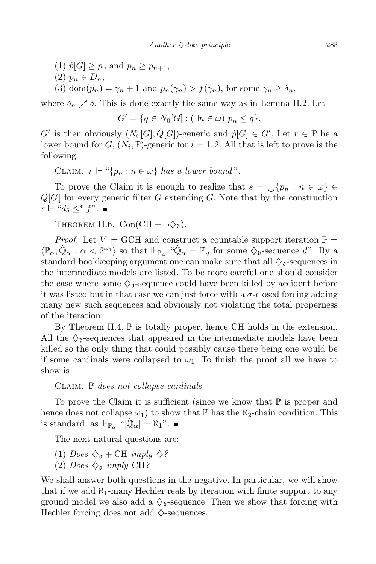- $p[1]$   $p[G] \geq p_0$  and  $p_n \geq p_{n+1}$ ,
- $(2)$   $p_n \in D_n$ ,
- (3) dom $(p_n) = \gamma_n + 1$  and  $p_n(\gamma_n) > f(\gamma_n)$ , for some  $\gamma_n \ge \delta_n$ ,

where  $\delta_n \nearrow \delta$ . This is done exactly the same way as in Lemma II.2. Let

$$
G' = \{q \in N_0[G] : (\exists n \in \omega) \ p_n \leq q\}.
$$

*G*<sup>*'*</sup> is then obviously  $(N_0[G], \dot{Q}[G])$ -generic and  $p[G] \in G'$ . Let  $r \in \mathbb{P}$  be a lower bound for  $G$ ,  $(N_i, \mathbb{P})$ -generic for  $i = 1, 2$ . All that is left to prove is the following:

CLAIM.  $r \Vdash ``\{p_n : n \in \omega\}$  *has a lower bound*".

To prove the Claim it is enough to realize that  $s = \bigcup \{p_n : n \in \omega\} \in$  $\dot{Q}[\overline{G}]$  for every generic filter  $\overline{G}$  extending *G*. Note that by the construction  $r \Vdash "d<sub>δ</sub> ≤^* f$ ". ■

THEOREM II.6.  $Con(CH + \neg \diamondsuit_{\mathfrak{d}})$ .

*Proof.* Let  $V \models$  GCH and construct a countable support iteration  $\mathbb{P} =$  $\langle \mathbb{P}_{\alpha}, \mathbb{Q}_{\alpha} : \alpha < 2^{\omega_1} \rangle$  so that  $\Vdash_{\mathbb{P}_{\alpha}}$  " $\mathbb{Q}_{\alpha} = \mathbb{P}_{\bar{d}}$  for some  $\diamondsuit_{\mathfrak{d}}$ -sequence  $\bar{d}$ ". By a standard bookkeeping argument one can make sure that all  $\Diamond_{\mathfrak{d}}$ -sequences in the intermediate models are listed. To be more careful one should consider the case where some  $\Diamond$ <sub>0</sub>-sequence could have been killed by accident before it was listed but in that case we can just force with a *σ*-closed forcing adding many new such sequences and obviously not violating the total properness of the iteration.

By Theorem II.4,  $\mathbb P$  is totally proper, hence CH holds in the extension. All the  $\Diamond_{\mathfrak{d}}$ -sequences that appeared in the intermediate models have been killed so the only thing that could possibly cause there being one would be if some cardinals were collapsed to  $\omega_1$ . To finish the proof all we have to show is

## Claim. P *does not collapse cardinals.*

To prove the Claim it is sufficient (since we know that  $\mathbb P$  is proper and hence does not collapse  $\omega_1$ ) to show that  $\mathbb P$  has the  $\aleph_2$ -chain condition. This is standard, as  $\Vdash_{\mathbb{P}_{\alpha}} \ulcorner \dot{\mathbb{Q}}_{\alpha} \vert = \aleph_1$ ".

The next natural questions are:

- (1) *Does*  $\diamondsuit_{\mathfrak{d}}$  + CH *imply*  $\diamondsuit$ ?
- (2) *Does*  $\diamondsuit_{\mathfrak{d}}$  *imply* CH?

We shall answer both questions in the negative. In particular, we will show that if we add *ℵ*1-many Hechler reals by iteration with finite support to any ground model we also add a  $\Diamond$ <sub>o</sub>-sequence. Then we show that forcing with Hechler forcing does not add *♦*-sequences.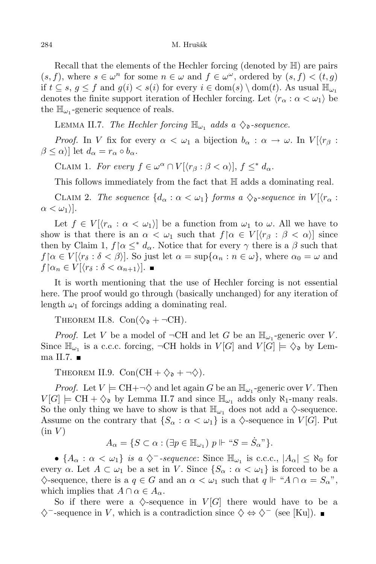Recall that the elements of the Hechler forcing (denoted by H) are pairs  $(s, f)$ , where  $s \in \omega^n$  for some  $n \in \omega$  and  $f \in \omega^\omega$ , ordered by  $(s, f) < (t, g)$ if *t* ⊆ *s*, *g* ≤ *f* and *g*(*i*) < *s*(*i*) for every *i* ∈ dom(*s*) *\* dom(*t*). As usual  $\mathbb{H}_{\omega_1}$ denotes the finite support iteration of Hechler forcing. Let  $\langle r_{\alpha} : \alpha < \omega_1 \rangle$  be the  $\mathbb{H}_{\omega_1}$ -generic sequence of reals.

**LEMMA II.7.** *The Hechler forcing*  $\mathbb{H}_{\omega_1}$  *adds*  $a \diamondsuit_0$ -sequence.

*Proof.* In *V* fix for every  $\alpha < \omega_1$  a bijection  $b_\alpha : \alpha \to \omega$ . In  $V[\langle r_\beta :$  $\beta \leq \alpha$ } let  $d_{\alpha} = r_{\alpha} \circ b_{\alpha}$ .

CLAIM 1. *For every*  $f \in \omega^{\alpha} \cap V[\langle r_{\beta} : \beta < \alpha \rangle], f \leq^* d_{\alpha}$ .

This follows immediately from the fact that H adds a dominating real.

CLAIM 2. *The sequence*  $\{d_\alpha : \alpha < \omega_1\}$  *forms*  $a \diamondsuit_{\mathfrak{d}}$ -sequence in  $V[\langle r_\alpha : \alpha \rangle]$  $\alpha < \omega_1$ ).

Let  $f \in V[(r_{\alpha} : \alpha < \omega_1)]$  be a function from  $\omega_1$  to  $\omega$ . All we have to show is that there is an  $\alpha < \omega_1$  such that  $f[\alpha \in V | (r_\beta : \beta < \alpha)]$  since then by Claim 1,  $f \upharpoonright \alpha \leq^* d_\alpha$ . Notice that for every  $\gamma$  there is a  $\beta$  such that  $f \upharpoonright \alpha \in V[\langle r_\delta : \delta \langle \beta \rangle]$ . So just let  $\alpha = \sup\{\alpha_n : n \in \omega\}$ , where  $\alpha_0 = \omega$  and  $f\left[\alpha_n \in V\right]\left\langle r_\delta : \delta < \alpha_{n+1} \right\rangle$ .

It is worth mentioning that the use of Hechler forcing is not essential here. The proof would go through (basically unchanged) for any iteration of length  $\omega_1$  of forcings adding a dominating real.

THEOREM II.8.  $Con(\diamondsuit_{\mathfrak{d}} + \neg CH)$ .

*Proof.* Let *V* be a model of  $\neg$ CH and let *G* be an  $\mathbb{H}_{\omega_1}$ -generic over *V*. Since  $\mathbb{H}_{\omega_1}$  is a c.c.c. forcing,  $\neg$ CH holds in  $V[G]$  and  $V[G] \models \Diamond_{\mathfrak{d}}$  by Lemma II.7.  $\blacksquare$ 

THEOREM II.9.  $Con(CH + \diamondsuit_{\mathfrak{d}} + \neg \diamondsuit)$ .

*Proof.* Let  $V \models \text{CH} + \neg \diamondsuit$  and let again *G* be an  $\mathbb{H}_{\omega_1}$ -generic over *V*. Then  $V[G] \models \text{CH} + \diamondsuit_{\mathfrak{d}}$  by Lemma II.7 and since  $\mathbb{H}_{\omega_1}$  adds only  $\aleph_1$ -many reals. So the only thing we have to show is that  $\mathbb{H}_{\omega_1}$  does not add a  $\Diamond$ -sequence. Assume on the contrary that  $\{S_\alpha : \alpha < \omega_1\}$  is a  $\diamondsuit$ -sequence in  $V[G]$ . Put  $(in V)$ 

$$
A_{\alpha} = \{ S \subset \alpha : (\exists p \in \mathbb{H}_{\omega_1}) \ p \Vdash \text{``} S = \dot{S}_{\alpha} \text{''} \}.
$$

 $\bullet$  { $A_{\alpha}$  : *α* < *ω*<sub>1</sub>} *is a*  $\diamondsuit$ <sup>*−</sup>-sequence*: Since  $\mathbb{H}_{\omega_1}$  is c.c.c.,  $|A_{\alpha}| \leq \aleph_0$  for</sup> every *α*. Let  $A \subset \omega_1$  be a set in *V*. Since  $\{S_\alpha : \alpha < \omega_1\}$  is forced to be a  $\diamondsuit$ -sequence, there is a  $q \in G$  and an  $\alpha < \omega_1$  such that  $q \Vdash "A \cap \alpha = S_\alpha"$ , which implies that  $A \cap \alpha \in A_{\alpha}$ .

So if there were a  $\Diamond$ -sequence in  $V[G]$  there would have to be a *♦−*-sequence in *V* , which is a contradiction since *♦ ⇔ ♦<sup>−</sup>* (see [Ku]).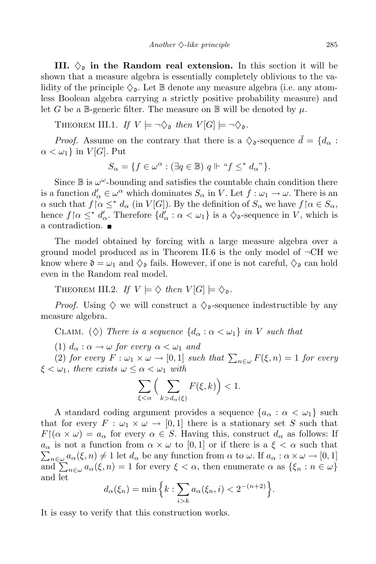**III.**  $\Diamond$  in the **Random** real extension. In this section it will be shown that a measure algebra is essentially completely oblivious to the validity of the principle  $\Diamond$ . Let  $\mathbb B$  denote any measure algebra (i.e. any atomless Boolean algebra carrying a strictly positive probability measure) and let *G* be a B-generic filter. The measure on B will be denoted by  $\mu$ .

THEOREM III.1. *If*  $V \models \neg \diamondsuit_{\mathfrak{d}}$  *then*  $V[G] \models \neg \diamondsuit_{\mathfrak{d}}$ .

*Proof.* Assume on the contrary that there is a  $\Diamond$ <sub>0</sub>-sequence  $\bar{d} = \{d_{\alpha} :$  $\alpha < \omega_1$ } in *V*[*G*]. Put

$$
S_{\alpha} = \{ f \in \omega^{\alpha} : (\exists q \in \mathbb{B}) \ q \Vdash "f \leq^* d_{\alpha}" \}.
$$

Since  $\mathbb B$  is  $\omega^{\omega}$ -bounding and satisfies the countable chain condition there is a function  $d'_{\alpha} \in \omega^{\alpha}$  which dominates  $S_{\alpha}$  in *V*. Let  $f : \omega_1 \to \omega$ . There is an  $\alpha$  such that  $f \alpha \leq^* d_\alpha$  (in *V* [*G*]). By the definition of  $S_\alpha$  we have  $f \alpha \in S_\alpha$ , hence  $f \alpha \leq^* d'_{\alpha}$ . Therefore  $\{d'_{\alpha} : \alpha < \omega_1\}$  is a  $\diamondsuit_{\mathfrak{d}}$ -sequence in *V*, which is a contradiction.

The model obtained by forcing with a large measure algebra over a ground model produced as in Theorem II.6 is the only model of *¬*CH we know where  $\mathfrak{d} = \omega_1$  and  $\Diamond_{\mathfrak{d}}$  fails. However, if one is not careful,  $\Diamond_{\mathfrak{d}}$  can hold even in the Random real model.

THEOREM III.2. *If*  $V \models \diamondsuit$  *then*  $V[G] \models \diamondsuit_{\mathfrak{d}}$ .

*Proof.* Using  $\diamondsuit$  we will construct a  $\diamondsuit_{\mathfrak{d}}$ -sequence indestructible by any measure algebra.

CLAIM. ( $\diamondsuit$ ) *There is a sequence*  $\{d_\alpha : \alpha < \omega_1\}$  *in V such that* 

(1)  $d_{\alpha} : \alpha \to \omega$  *for every*  $\alpha < \omega_1$  *and* 

 $(2)$  *for every*  $F : \omega_1 \times \omega \to [0,1]$  *such that*  $\sum_{n \in \omega} F(\xi, n) = 1$  *for every*  $\xi < \omega_1$ , *there exists*  $\omega \leq \alpha < \omega_1$  *with* 

$$
\sum_{\xi < \alpha} \Big( \sum_{k > d_{\alpha}(\xi)} F(\xi, k) \Big) < 1.
$$

A standard coding argument provides a sequence  ${a_{\alpha} : \alpha < \omega_1}$  such that for every  $F: \omega_1 \times \omega \to [0,1]$  there is a stationary set S such that  $F(\alpha \times \omega) = a_{\alpha}$  for every  $\alpha \in S$ . Having this, construct  $d_{\alpha}$  as follows: If *a*<sub>α</sub> is not a function from  $\alpha \times \omega$  to [0, 1] or if there is a  $\xi < \alpha$  such that  $\sum_{\alpha \in \alpha} a_{\alpha}(\xi, n) \neq 1$  let  $d_{\alpha}$  be any function from  $\alpha$  to  $\omega$ . If  $a_{\alpha} : \alpha \times \omega \to [0, 1]$  $n \in \mathbb{Z}$  *a*<sub>*a*</sub> (*ξ, n*)  $\neq 1$  let *d*<sub>*a*</sub> be any function from *α* to *ω*. If  $a_{\alpha} : \alpha \times \omega \to [0,1]$  $\lim_{n \to \infty} \sum_{n \in \omega} a_{\alpha}(\xi, n) = 1$  for every  $\xi < \alpha$ , then enumerate  $\alpha$  as  $\{\xi_n : n \in \omega\}$ and let

$$
d_{\alpha}(\xi_n) = \min \Big\{ k : \sum_{i>k} a_{\alpha}(\xi_n, i) < 2^{-(n+2)} \Big\}.
$$

It is easy to verify that this construction works.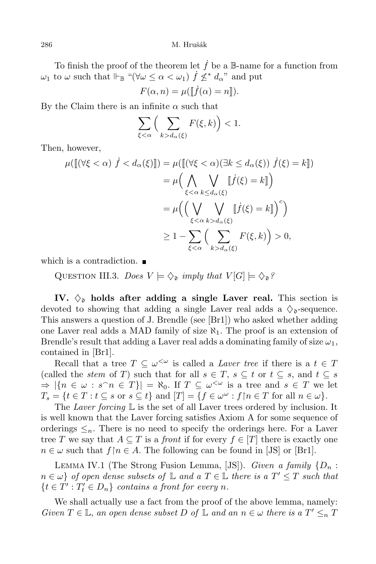To finish the proof of the theorem let  $\dot{f}$  be a B-name for a function from  $\omega_1$  to  $\omega$  such that  $\Vdash_{\mathbb{B}}$  " $(\forall \omega \leq \alpha < \omega_1)$   $\dot{f} \not\leq^* d_{\alpha}$ " and put

$$
F(\alpha, n) = \mu([\![\dot{f}(\alpha) = n]\!]).
$$

By the Claim there is an infinite  $\alpha$  such that

$$
\sum_{\xi<\alpha}\Big(\sum_{k>d_{\alpha}(\xi)}F(\xi,k)\Big)<1.
$$

Then, however,

$$
\mu([\![ (\forall \xi < \alpha) \ \dot{f} < d_{\alpha}(\xi) ]\!]) = \mu([\![ (\forall \xi < \alpha) (\exists k \leq d_{\alpha}(\xi)) \ \dot{f}(\xi) = k ]\!])
$$
\n
$$
= \mu \Big( \bigwedge_{\xi < \alpha} \bigvee_{k \leq d_{\alpha}(\xi)} [\![ \dot{f}(\xi) = k ]\!] \Big)
$$
\n
$$
= \mu \Big( \Big( \bigvee_{\xi < \alpha} \bigvee_{k > d_{\alpha}(\xi)} [\![ \dot{f}(\xi) = k ]\!] \Big)^{c} \Big)
$$
\n
$$
\geq 1 - \sum_{\xi < \alpha} \Big( \sum_{k > d_{\alpha}(\xi)} F(\xi, k) \Big) > 0,
$$

which is a contradiction.

QUESTION III.3. *Does*  $V \models \diamondsuit_{\mathfrak{d}}$  *imply that*  $V[G] \models \diamondsuit_{\mathfrak{d}}?$ 

**IV.**  $\Diamond$  **holds** after adding a single Laver real. This section is devoted to showing that adding a single Laver real adds a  $\Diamond$ <sub>o</sub>-sequence. This answers a question of J. Brendle (see [Br1]) who asked whether adding one Laver real adds a MAD family of size  $\aleph_1$ . The proof is an extension of Brendle's result that adding a Laver real adds a dominating family of size  $\omega_1$ , contained in [Br1].

Recall that a tree  $T \subseteq \omega^{\leq \omega}$  is called a *Laver* tree if there is a  $t \in T$ (called the *stem* of *T*) such that for all  $s \in T$ ,  $s \subseteq t$  or  $t \subseteq s$ , and  $t \subseteq s$  $\Rightarrow$   $|\{n \in \omega : s^\cap n \in T\}| = \aleph_0$ . If  $T \subseteq \omega^{<\omega}$  is a tree and  $s \in T$  we let  $T_s = \{t \in T : t \subseteq s \text{ or } s \subseteq t\} \text{ and } [T] = \{f \in \omega^\omega : f \mid n \in T \text{ for all } n \in \omega\}.$ 

The *Laver forcing* L is the set of all Laver trees ordered by inclusion. It is well known that the Laver forcing satisfies Axiom A for some sequence of orderings  $\leq_n$ . There is no need to specify the orderings here. For a Laver tree *T* we say that  $A \subseteq T$  is a *front* if for every  $f \in [T]$  there is exactly one  $n \in \omega$  such that  $f \mid n \in A$ . The following can be found in [JS] or [Br1].

LEMMA IV.1 (The Strong Fusion Lemma, [JS]). *Given* a family  $\{D_n:$  $n \in \omega$  of open dense subsets of  $\mathbb L$  and a  $T \in \mathbb L$  there is a  $T' \leq T$  such that  ${t \in T' : T'_t \in D_n}$  *contains a front for every n.* 

We shall actually use a fact from the proof of the above lemma, namely: Given  $T \in \mathbb{L}$ , an open dense subset D of  $\mathbb{L}$  and an  $n \in \omega$  there is a  $T' \leq_n T$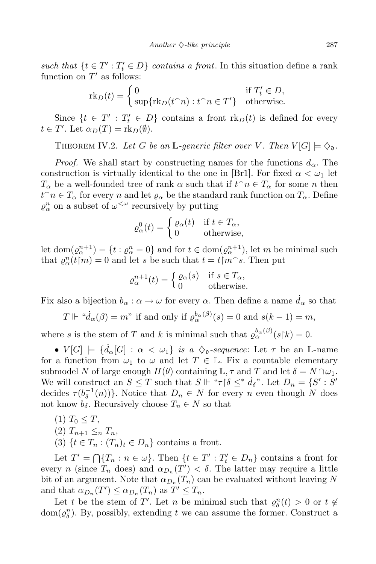*such that*  $\{t \in T' : T'_t \in D\}$  *contains a front*. In this situation define a rank function on  $T'$  as follows:

$$
\mathrm{rk}_D(t) = \begin{cases} 0 & \text{if } T'_t \in D, \\ \sup\{\mathrm{rk}_D(t^\frown n): t^\frown n \in T'\} & \text{otherwise.} \end{cases}
$$

Since  $\{t \in T' : T'_t \in D\}$  contains a front  $\text{rk}_D(t)$  is defined for every  $t \in T'$ . Let  $\alpha_D(T) = \text{rk}_D(\emptyset)$ .

THEOREM IV.2. Let *G* be an L-generic filter over *V*. Then  $V[G] \models \diamondsuit_{\mathfrak{d}}$ .

*Proof.* We shall start by constructing names for the functions  $d_{\alpha}$ . The construction is virtually identical to the one in [Br1]. For fixed  $\alpha < \omega_1$  let *T*<sub>*α*</sub> be a well-founded tree of rank *α* such that if  $t^\frown n \in T_\alpha$  for some *n* then  $t^{\frown} n \in T_{\alpha}$  for every *n* and let  $\varrho_{\alpha}$  be the standard rank function on  $T_{\alpha}$ . Define  $\varrho^n_\alpha$  on a subset of  $\omega^{\langle \omega \rangle}$  recursively by putting

$$
\varrho_{\alpha}^{0}(t) = \begin{cases} \varrho_{\alpha}(t) & \text{if } t \in T_{\alpha}, \\ 0 & \text{otherwise}, \end{cases}
$$

let dom $(\varrho_{\alpha}^{n+1}) = \{t : \varrho_{\alpha}^{n} = 0\}$  and for  $t \in \text{dom}(\varrho_{\alpha}^{n+1})$ , let *m* be minimal such that  $\varrho_{\alpha}^{n}(t|m) = 0$  and let *s* be such that  $t = t|m^s$ . Then put

$$
\varrho_{\alpha}^{n+1}(t) = \begin{cases} \varrho_{\alpha}(s) & \text{if } s \in T_{\alpha}, \\ 0 & \text{otherwise.} \end{cases}
$$

Fix also a bijection  $b_{\alpha} : \alpha \to \omega$  for every  $\alpha$ . Then define a name  $d_{\alpha}$  so that

$$
T \Vdash ``\dot{d}_{\alpha}(\beta) = m"
$$
 if and only if  $\varrho_{\alpha}^{b_{\alpha}(\beta)}(s) = 0$  and  $s(k-1) = m$ ,

where *s* is the stem of *T* and *k* is minimal such that  $\varrho_{\alpha}^{b_{\alpha}(\beta)}(s|k) = 0$ .

•  $V[G] \models \{d_{\alpha}[G] : \alpha < \omega_1\}$  *is*  $a \diamondsuit$ <sub>0</sub>-sequence: Let  $\tau$  be an L-name for a function from  $\omega_1$  to  $\omega$  and let  $T \in \mathbb{L}$ . Fix a countable elementary submodel *N* of large enough  $H(\theta)$  containing  $\mathbb{L}, \tau$  and  $T$  and let  $\delta = N \cap \omega_1$ . We will construct an  $S \leq T$  such that  $S \Vdash ``\tau \upharpoonright \delta \leq^* \dot{d}_\delta$ ". Let  $D_n = \{S' : S' \}$ decides  $\tau(b_{\delta}^{-1}(n))$ }. Notice that  $D_n \in N$  for every *n* even though *N* does not know  $b_{\delta}$ . Recursively choose  $T_n \in N$  so that

- $(T_0 \leq T)$
- $(2)$   $T_{n+1} \leq_n T_n$
- (3)  ${t \in T_n : (T_n)_t \in D_n}$  contains a front.

Let  $T' = \bigcap \{T_n : n \in \omega\}$ . Then  $\{t \in T' : T'_t \in D_n\}$  contains a front for every *n* (since  $T_n$  does) and  $\alpha_{D_n}(T') < \delta$ . The latter may require a little bit of an argument. Note that  $\alpha_{D_n}(T_n)$  can be evaluated without leaving  $N$ and that  $\alpha_{D_n}(T') \leq \alpha_{D_n}(T_n)$  as  $T' \leq T_n$ .

Let *t* be the stem of *T'*. Let *n* be minimal such that  $\rho_{\delta}^{n}(t) > 0$  or  $t \notin$  $dom(\varrho_{\delta}^n)$ . By, possibly, extending *t* we can assume the former. Construct a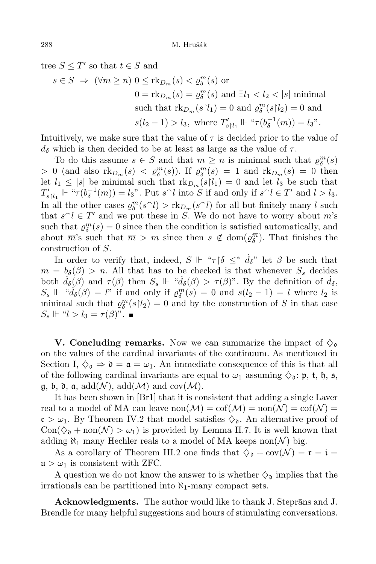tree  $S \leq T'$  so that  $t \in S$  and

$$
s \in S \implies (\forall m \ge n) 0 \le \text{rk}_{D_m}(s) < \varrho_{\delta}^m(s) \text{ or}
$$
\n
$$
0 = \text{rk}_{D_m}(s) = \varrho_{\delta}^m(s) \text{ and } \exists l_1 < l_2 < |s| \text{ minimal}
$$
\nsuch that

\n
$$
\text{rk}_{D_m}(s|l_1) = 0 \text{ and } \varrho_{\delta}^m(s|l_2) = 0 \text{ and }
$$
\n
$$
s(l_2 - 1) > l_3, \text{ where } T'_{s|l_1} \Vdash ``\tau(b_{\delta}^{-1}(m)) = l_3".
$$

Intuitively, we make sure that the value of  $\tau$  is decided prior to the value of  $d<sub>δ</sub>$  which is then decided to be at least as large as the value of  $τ$ .

To do this assume  $s \in S$  and that  $m \geq n$  is minimal such that  $\varrho_{\delta}^{m}(s)$ *>* 0 (and also  $\text{rk}_{D_m}(s) < \varrho_{\delta}^{m}(s)$ ). If  $\varrho_{\delta}^{m}(s) = 1$  and  $\text{rk}_{D_m}(s) = 0$  then let  $l_1 \leq |s|$  be minimal such that  $\text{rk}_{D_m}(s|l_1) = 0$  and let  $l_3$  be such that  $T'_{s|l_1} \Vdash ``\tau(b_{\delta}^{-1}(m)) = l_3"$ . Put  $s^{\frown}l$  into S if and only if  $s^{\frown}l \in T'$  and  $l > l_3$ . In all the other cases  $\varrho_{\delta}^{m}(s \cap l) > \text{rk}_{D_{m}}(s \cap l)$  for all but finitely many *l* such that  $s \cap l \in T'$  and we put these in *S*. We do not have to worry about *m*'s such that  $\varrho_{\delta}^{m}(s) = 0$  since then the condition is satisfied automatically, and about  $\overline{m}$ 's such that  $\overline{m} > m$  since then  $s \notin \text{dom}(\varrho_{\delta}^{\overline{m}})$ . That finishes the construction of *S*.

In order to verify that, indeed,  $S \Vdash \pi \upharpoonright \delta \leq^* \dot{d}_\delta$ " let  $\beta$  be such that  $m = b_{\delta}(\beta) > n$ . All that has to be checked is that whenever  $S_{s}$  decides both  $\dot{d}_{\delta}(\beta)$  and  $\tau(\beta)$  then  $S_s \Vdash \text{``}\dot{d}_{\delta}(\beta) > \tau(\beta)$ ". By the definition of  $\dot{d}_{\delta}$ ,  $S_s \Vdash ``d_{\delta}(\beta) = l$ " if and only if  $\varrho_{\delta}^m(s) = 0$  and  $s(l_2 - 1) = l$  where  $l_2$  is minimal such that  $\varrho_{\delta}^{m}(s|l_2) = 0$  and by the construction of *S* in that case  $S_s \Vdash "l > l_3 = \tau(\beta)$ ".

**V.** Concluding **remarks.** Now we can summarize the impact of  $\Diamond$ on the values of the cardinal invariants of the continuum. As mentioned in Section I,  $\Diamond$ <sub>0</sub>  $\Rightarrow$  0 =  $\alpha = \omega_1$ . An immediate consequence of this is that all of the following cardinal invariants are equal to  $\omega_1$  assuming  $\Diamond_{\mathfrak{d}}: \mathfrak{p}, \mathfrak{t}, \mathfrak{h}, \mathfrak{s},$  $\mathfrak{g}, \mathfrak{b}, \mathfrak{d}, \mathfrak{a}, \, \text{add}(\mathcal{N}), \, \text{add}(\mathcal{M}) \, \text{and} \, \text{cov}(\mathcal{M}).$ 

It has been shown in [Br1] that it is consistent that adding a single Laver real to a model of MA can leave  $\text{non}(\mathcal{M}) = \text{cof}(\mathcal{M}) = \text{non}(\mathcal{N}) = \text{cof}(\mathcal{N}) =$  $c > \omega_1$ . By Theorem IV.2 that model satisfies  $\Diamond_{\mathfrak{d}}$ . An alternative proof of  $Con(\Diamond_{\mathfrak{d}} + \text{non}(\mathcal{N}) > \omega_1)$  is provided by Lemma II.7. It is well known that adding  $\aleph_1$  many Hechler reals to a model of MA keeps non $(\mathcal{N})$  big.

As a corollary of Theorem III.2 one finds that  $\Diamond_{\mathfrak{d}} + \text{cov}(\mathcal{N}) = \mathfrak{r} = \mathfrak{i} =$  $\mathfrak{u} > \omega_1$  is consistent with ZFC.

A question we do not know the answer to is whether  $\Diamond_{\mathfrak{d}}$  implies that the irrationals can be partitioned into *ℵ*1-many compact sets.

**Acknowledgments.** The author would like to thank J. Steprans and J. Brendle for many helpful suggestions and hours of stimulating conversations.